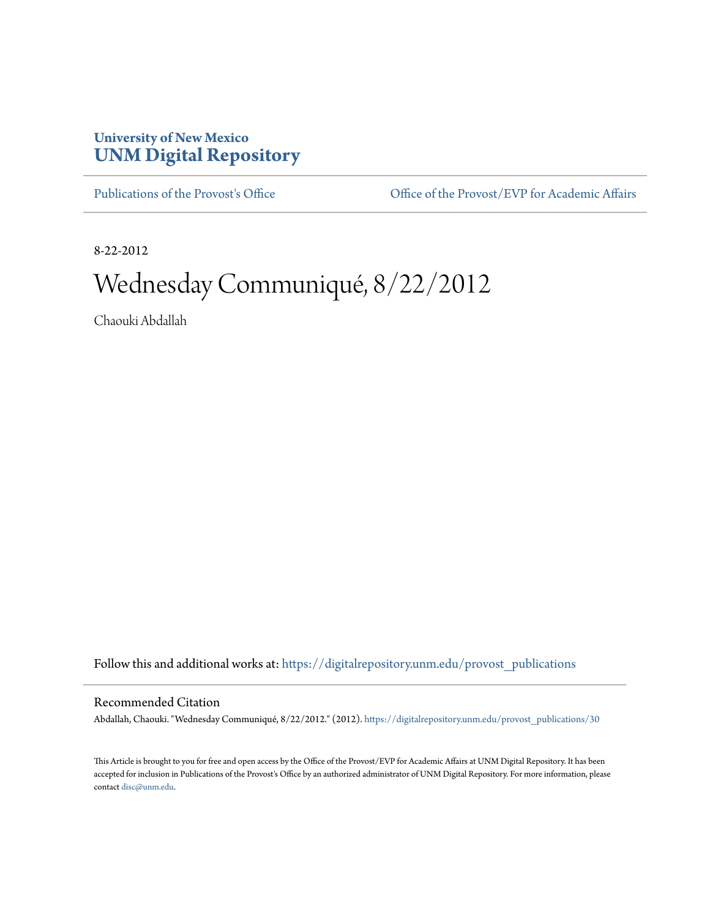## **University of New Mexico [UNM Digital Repository](https://digitalrepository.unm.edu?utm_source=digitalrepository.unm.edu%2Fprovost_publications%2F30&utm_medium=PDF&utm_campaign=PDFCoverPages)**

[Publications of the Provost's Office](https://digitalrepository.unm.edu/provost_publications?utm_source=digitalrepository.unm.edu%2Fprovost_publications%2F30&utm_medium=PDF&utm_campaign=PDFCoverPages) Office [Office of the Provost/EVP for Academic Affairs](https://digitalrepository.unm.edu/ofc_provost?utm_source=digitalrepository.unm.edu%2Fprovost_publications%2F30&utm_medium=PDF&utm_campaign=PDFCoverPages)

8-22-2012

# Wednesday Communiqué, 8/22/2012

Chaouki Abdallah

Follow this and additional works at: [https://digitalrepository.unm.edu/provost\\_publications](https://digitalrepository.unm.edu/provost_publications?utm_source=digitalrepository.unm.edu%2Fprovost_publications%2F30&utm_medium=PDF&utm_campaign=PDFCoverPages)

#### Recommended Citation

Abdallah, Chaouki. "Wednesday Communiqué, 8/22/2012." (2012). [https://digitalrepository.unm.edu/provost\\_publications/30](https://digitalrepository.unm.edu/provost_publications/30?utm_source=digitalrepository.unm.edu%2Fprovost_publications%2F30&utm_medium=PDF&utm_campaign=PDFCoverPages)

This Article is brought to you for free and open access by the Office of the Provost/EVP for Academic Affairs at UNM Digital Repository. It has been accepted for inclusion in Publications of the Provost's Office by an authorized administrator of UNM Digital Repository. For more information, please contact [disc@unm.edu.](mailto:disc@unm.edu)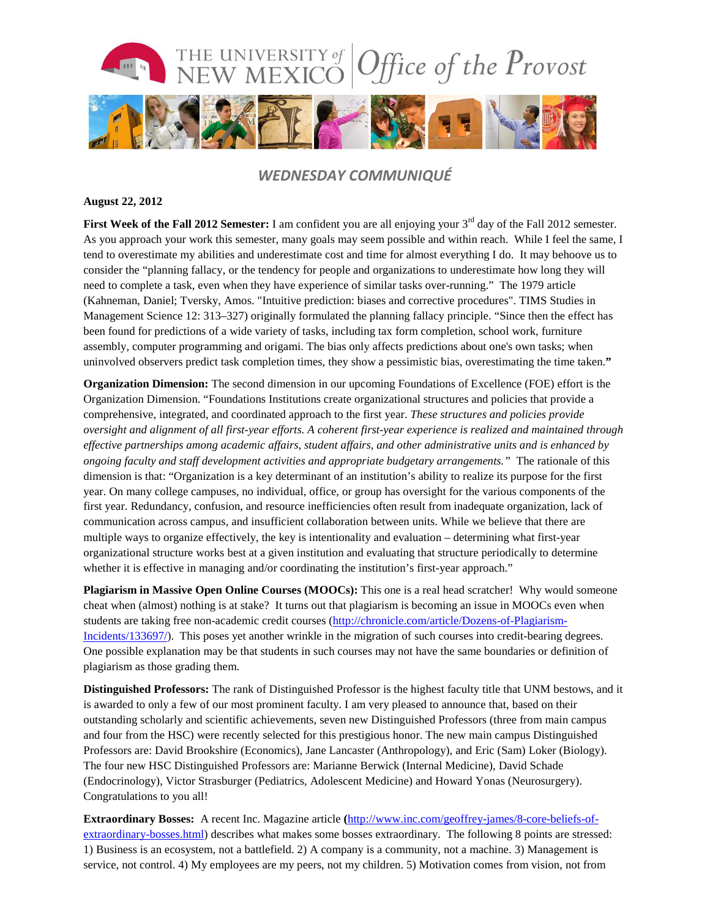

### *WEDNESDAY COMMUNIQUÉ*

#### **August 22, 2012**

**First Week of the Fall 2012 Semester:** I am confident you are all enjoying your 3<sup>rd</sup> day of the Fall 2012 semester. As you approach your work this semester, many goals may seem possible and within reach. While I feel the same, I tend to overestimate my abilities and underestimate cost and time for almost everything I do. It may behoove us to consider the "planning fallacy, or the tendency for people and organizations to underestimate how long they will need to complete a task, even when they have experience of similar tasks over-running." The 1979 article (Kahneman, Daniel; Tversky, Amos. "Intuitive prediction: biases and corrective procedures". TIMS Studies in Management Science 12: 313–327) originally formulated the planning fallacy principle. "Since then the effect has been found for predictions of a wide variety of tasks, including tax form completion, school work, furniture assembly, computer programming and origami. The bias only affects predictions about one's own tasks; when uninvolved observers predict task completion times, they show a pessimistic bias, overestimating the time taken.**"**

**Organization Dimension:** The second dimension in our upcoming Foundations of Excellence (FOE) effort is the Organization Dimension. "Foundations Institutions create organizational structures and policies that provide a comprehensive, integrated, and coordinated approach to the first year. *These structures and policies provide oversight and alignment of all first-year efforts. A coherent first-year experience is realized and maintained through effective partnerships among academic affairs, student affairs, and other administrative units and is enhanced by ongoing faculty and staff development activities and appropriate budgetary arrangements."* The rationale of this dimension is that: "Organization is a key determinant of an institution's ability to realize its purpose for the first year. On many college campuses, no individual, office, or group has oversight for the various components of the first year. Redundancy, confusion, and resource inefficiencies often result from inadequate organization, lack of communication across campus, and insufficient collaboration between units. While we believe that there are multiple ways to organize effectively, the key is intentionality and evaluation – determining what first-year organizational structure works best at a given institution and evaluating that structure periodically to determine whether it is effective in managing and/or coordinating the institution's first-year approach."

**Plagiarism in Massive Open Online Courses (MOOCs):** This one is a real head scratcher! Why would someone cheat when (almost) nothing is at stake? It turns out that plagiarism is becoming an issue in MOOCs even when students are taking free non-academic credit courses [\(http://chronicle.com/article/Dozens-of-Plagiarism-](http://chronicle.com/article/Dozens-of-Plagiarism-Incidents/133697/)[Incidents/133697/\)](http://chronicle.com/article/Dozens-of-Plagiarism-Incidents/133697/). This poses yet another wrinkle in the migration of such courses into credit-bearing degrees. One possible explanation may be that students in such courses may not have the same boundaries or definition of plagiarism as those grading them.

**Distinguished Professors:** The rank of Distinguished Professor is the highest faculty title that UNM bestows, and it is awarded to only a few of our most prominent faculty. I am very pleased to announce that, based on their outstanding scholarly and scientific achievements, seven new Distinguished Professors (three from main campus and four from the HSC) were recently selected for this prestigious honor. The new main campus Distinguished Professors are: David Brookshire (Economics), Jane Lancaster (Anthropology), and Eric (Sam) Loker (Biology). The four new HSC Distinguished Professors are: Marianne Berwick (Internal Medicine), David Schade (Endocrinology), Victor Strasburger (Pediatrics, Adolescent Medicine) and Howard Yonas (Neurosurgery). Congratulations to you all!

**Extraordinary Bosses:** A recent Inc. Magazine article **(**[http://www.inc.com/geoffrey-james/8-core-beliefs-of](http://www.inc.com/geoffrey-james/8-core-beliefs-of-extraordinary-bosses.html)[extraordinary-bosses.html\)](http://www.inc.com/geoffrey-james/8-core-beliefs-of-extraordinary-bosses.html) describes what makes some bosses extraordinary. The following 8 points are stressed: 1) Business is an ecosystem, not a battlefield. 2) A company is a community, not a machine. 3) Management is service, not control. 4) My employees are my peers, not my children. 5) Motivation comes from vision, not from